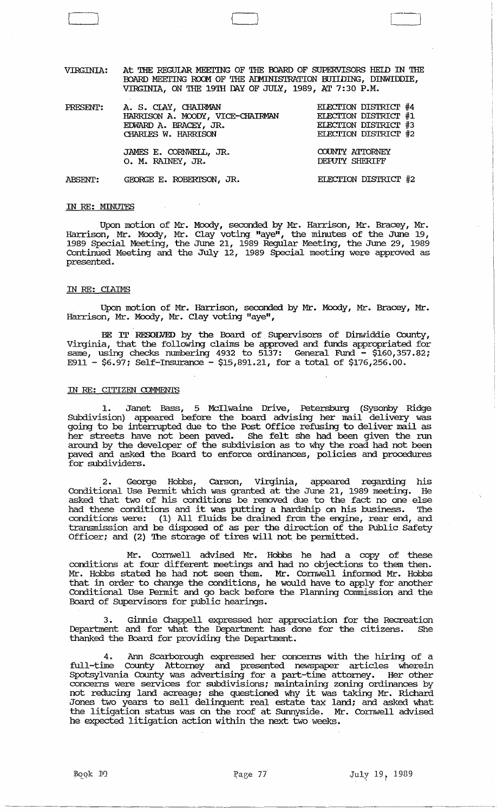VIRGINIA: At THE REGULAR MEETING OF THE BOARD OF SUPERVISORS HELD IN THE BOARD MEETING ROOM OF THE ADMINISTRATION BUIIDING, DINWIDDIE, VIRGINIA, ON THE 19TH DAY OF JULY, 1989, AT 7: 30 P.M.

 $1$   $1$   $1$ 

| PRESENT:       | A. S. CIAY, CHAIRMAN<br>HARRISON A. MOODY, VICE-CHAIRMAN<br>EDWARD A. BRACEY, JR.<br>CHARLES W. HARRISON | ELECTION DISTRICT #4<br>ELECTION DISTRICT #1<br>ELECTION DISTRICT #3<br>ELECTION DISTRICT #2 |
|----------------|----------------------------------------------------------------------------------------------------------|----------------------------------------------------------------------------------------------|
|                | JAMES E. CORNWELL, JR.<br>O. M. RAINEY, JR.                                                              | COUNTY ATTORNEY<br>DEPUTY SHERIFF                                                            |
| <b>ABSENT:</b> | GEORGE E. ROBERTSON, JR.                                                                                 | ELECTION DISTRICT #2                                                                         |

### IN RE: MINUTES

Upon motion of Mr. Moody, seconded by Mr. Harrison, Mr. Bracey, Mr. Harrison, Mr. Moody, Mr. Clay voting "aye", the minutes of the June 19, 1989 Special Meeting, the June 21, 1989 Regular Meeting, the June 29, 1989 Continued Meeting and the july 12, 1989 Special meeting were approved as presented.

### IN RE: ClAIMS

. Upon motion of Mr. Harrison, seconded by Mr. Moody, Mr. Bracey, Mr. Harrison, Mr. Moody, Mr. Clay voting "aye",

BE IT RESOLVED by the Board of Supervisors of Dinwiddie County, Virginia, that the following clailns be approved and funds appropriated for same, using checks numbering 4932 to 5137: General Fund - \$160,357.82; E911 - \$6.97; Self-Insurance - \$15,891.21, for a total of \$176,256.00.

## IN RE: CITIZEN COMMENTS

1. Janet Bass, 5 McIlwaine Drive, Petersburg (Sysonby Ridge SUbdivision) appeared before the board advising her mail delivery was going to be interrupted due to the Post Office refusing to deliver mail as her streets have not been paved. She felt she had been given the run around by the developer of the subdivision as to why the road had not been paved and asked the Board to enforce ordinances, policies and procedures for subdividers.

2. George Hobbs, carson, Virginia, appeared regarding his conditional Use Pennit which was granted at the June 21, 1989 meeting. He asked that two of his conditions be removed due to the fact no one else had these conditions and it was putting a hardship on his business. The conditions were: (1) All fluids be drained from the engine, rear end, and transmission and be disposed of as per the direction of the Public Safety Officer; and (2) The storage of tires will not be pennitted.

Mr. Cornwell advised Mr. Hobbs he had a copy of these conditions at four different meetings and had no objections to them then. Mr. Hobbs stated he had not seen them. Mr. Cornwell infonned Mr. Hobbs that in order to change the conditions, he would have to apply for another Conditional Use Permit and go back before the Planning Commission and the Board of SUpervisors for public hearings.

3. Ginnie Chappell expressed her appreciation for the Recreation Department and for what the Department has done for the citizens. thanked the Board for providing the Department.

4. Ann Scarborough expressed her concerns with the hiring of a<br>full-time County Attorney and presented newspaper articles wherein County Attorney and presented newspaper articles wherein Spotsylvania County was advertising for a part-time attorney. Her other concerns were services for subdivisions; maintaining zoning ordinances by not reducing land acreage; she questioned why it was taking Mr. Richard Jones two years to sell delinquent real estate tax land; and asked what the litigation status was on the roof at SUnnyside. Mr. Cornwell advised he expected litigation action within the next two weeks.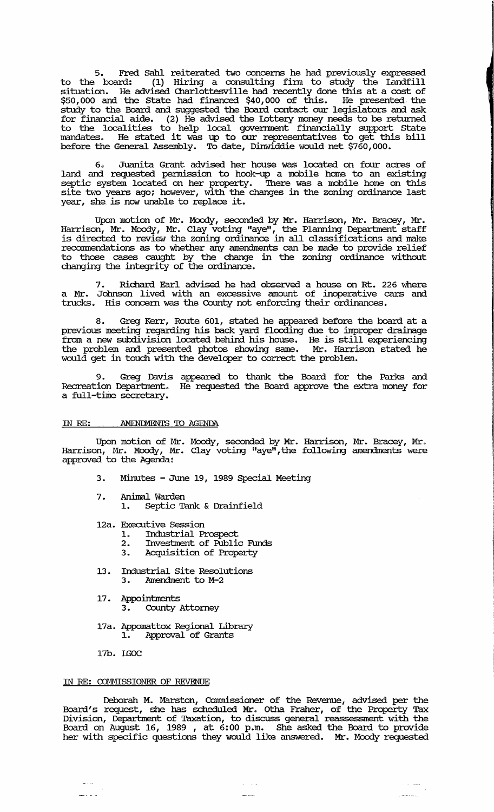5. Fred Sahl reiterated two concerns he had previously expressed to the board: (1) Hiring a consulting finn to study the landfill situation. He advised Charlottesville had recently done this at a cost of \$50,000 and the state had financed \$40,000 of this. He presented the study to the Board and suggested the Board contact our legislators and ask for financial aide. (2) He advised the Lottery money needs to be returned to the localities to help local government financially support state mandates. He stated it was up to our representatives to get this bill before the General Assembly. To date, Dinwiddie would net \$760,000.

6. Juanita Grant advised her house was located on four acres of land and requested pennission to hook-up a mobile home to an existing septic system located on her property. There was a mobile home on this site two years ago; however, with the changes in the zoning ordinance last  $year<sub>l</sub>$  she is now unable to replace it.

Upon motion of Mr. Moody, seconded by Mr. Harrison, Mr. Bracey, Mr. Harrison, Mr. Moody, Mr. Clay voting "aye", the Planning Department staff is directed to review the zoning ordinance in all classifications and make recommendations as to whether any amendments can be made to provide relief to those cases caught by the change in the zoning ordinance without changing the integrity of the ordinance.

Richard Earl advised he had observed a house on Rt. 226 where a Mr. Johnson lived with an excessive amount of inoperative cars and trucks. His concern was the County not enforcing their ordinances.

8. Greg Kerr, Route 601, stated he appeared before the board at a previous meeting regarding his back yard flooding due to improper drainage from a new subdivision located behind his house. He is still experiencing the problem and presented photos showing same. Mr. Harrison stated he would get in touch with the developer to correct the problem.

Greg Davis appeared to thank the Board for the Parks and Recreation Department. He requested the Board approve the extra money for a full-time secretary.

### IN RE: AMENDMENTS TO AGENDA

Upon motion of Mr. Moody, seconded by Mr. Harrison, Mr. Bracey, Mr. Harrison, Mr. Moody, Mr. Clay voting "aye", the following amendments were approved to the Agenda:

- 3. Minutes June 19, 1989 Special Meeting
- 7. Animal Warden 1. Septic Tank & Drainfield
- 12a. Executive session
	- 1. Industrial Prospect<br>2. Investment of Public
	- 2. Investment of Public Funds<br>3. Acquisition of Property
	- 3. Acquisition of Property
- 13. Industrial site Resolutions 3. Amendment to M-2
- 17. Appointments
	- 3. County Attorney
- 17a. Appomattox Regional Library 1. Approval of Grants
- 17b. IGOC

لأنباء

### IN RE: COMMISSIONER OF REVENUE

Deborah M. Marston, Commissioner of the Revenue, advised per the Board's request, she has scheduled Mr. Otha Fraher, of the Property Tax Division, Deparbnent of Taxation, to discuss general reassessment with the Board on August 16, 1989 , at 6:00 p.m. She asked the Board to provide her with specific questions they would like answered. Mr. Moody requested

ر<br>مورد با با با بار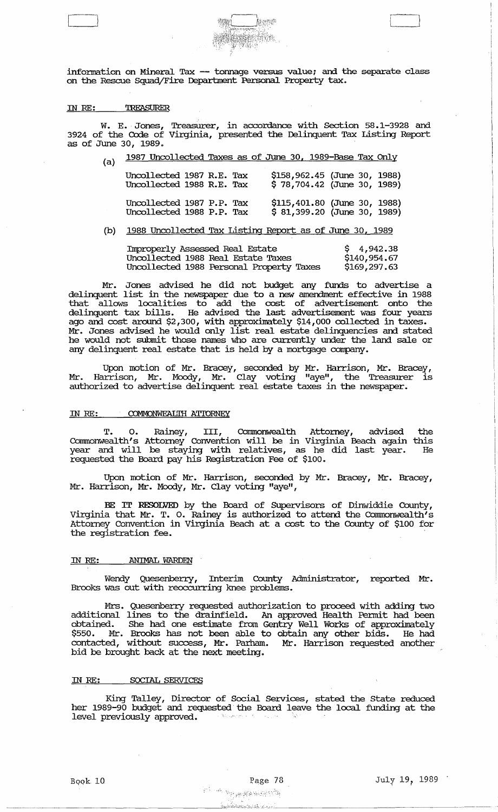information on Mineral Tax -- tonnage versus value; and the separate class on the Rescue Squad/Fire Department Personal Property tax.

#### TREASURER IN *RE:*

 $\Box$ 

W. E. Jones, Treasurer, in accordance with Section 58.1-3928 and 3924 of the Code of virginia, presented the Delinquent Tax Listing Report as of June 30, 1989.

| (n) |  | 1987 Uncollected Taxes as of June 30, 1989-Base Tax Only |  |  |  |  |  |  |  |  |  |  |
|-----|--|----------------------------------------------------------|--|--|--|--|--|--|--|--|--|--|
|-----|--|----------------------------------------------------------|--|--|--|--|--|--|--|--|--|--|

| Uncollected 1987 R.E. Tax<br>Uncollected 1988 R.E. Tax |  | $$158,962.45$ (June 30, 1988)<br>$$78,704.42$ (June 30, 1989) |  |  |
|--------------------------------------------------------|--|---------------------------------------------------------------|--|--|
| Uncollected 1987 P.P. Tax<br>Uncollected 1988 P.P. Tax |  | $$115,401.80$ (June 30, 1988)<br>$$81,399.20$ (June 30, 1989) |  |  |

## (b) 1988 Uncollected Tax Listing Report as of June 30, 1989

| Improperly Assessed Real Estate    |                                          | \$4,942.38   |
|------------------------------------|------------------------------------------|--------------|
| Uncollected 1988 Real Estate Taxes |                                          | \$140,954.67 |
|                                    | Uncollected 1988 Personal Property Taxes | \$169,297.63 |

Mr. Jones advised he did not budget any funds to advertise a delinquent list in the newspaper due to a new amendment effective in 1988 that allows localities to add the cost of advertisement onto the delinquent tax bills. He advised the last advertisement was four years ago and cost around \$2,300, with approximately \$14,000 collected in taxes. Mr. Jones advised he would only list real estate delinquencies and stated he would not submit those names who are currently under the land sale or any delinquent real estate that is held by a mortgage company.

Upon motion of Mr. Bracey, seconded by Mr. Harrison, Mr. Bracey, Mr. Harrison, Mr. Moody, Mr. Clay voting "aye", the Treasurer is authorized to advertise delinquent real estate taxes in the newspaper.

### IN RE: COMMONWEALIH ATTORNEY

T. o. Rainey, III, Cormnonwealth Attorney, advised the Commonwealth's Attorney Convention will be in Virginia Beach again this year and will be staying with relatives, as he did last year. He requested the Board pay his Registration Fee of \$100.

Upon motion of Mr. Harrison, seconded by Mr. Bracey, Mr. Bracey, Mr. Harrison, Mr. Moody, Mr. Clay voting "aye",

BE IT RESOLVED by the Board of SUpervisors of Dinwiddie County, virginia that Mr. T. O. Rainey is authorized to attend the Cammonwealth' s Attorney COIWention in Virginia Beach at a Cost to the County of \$100 for the registration fee.

## IN *RE:* .ANIMAL WARDEN

Wendy Quesenberry, Interim County Administrator, reported Mr. Brooks was out with reoccurring knee problems.

Mrs. Quesenberry requested authorization to proceed with adding two additional lines to the drainfield. An approved Health Pennit had been obtained. She had one estimate from Gentry Well Works of approximately \$550. Mr. Brooks has not been able to obtain any other bids. He had contacted, without success, Mr. Parham. Mr. Harrison requested another bid be brought back at the next meeting.

### IN *RE:* SOCIAL SERVICES

King Talley, Director of Social services, stated the state reduced her 1989-90 budget and requested the Board leave the local funding at the level previously approved.

<u>ٵ؊ۮ</u>ؗ؞ؽٚۿ؉ؽٷ؉ۄؽؿٳ؋ؾۺٲڹڎڰۘ؆ۿ<u>ؠڡٷ</u>ۘ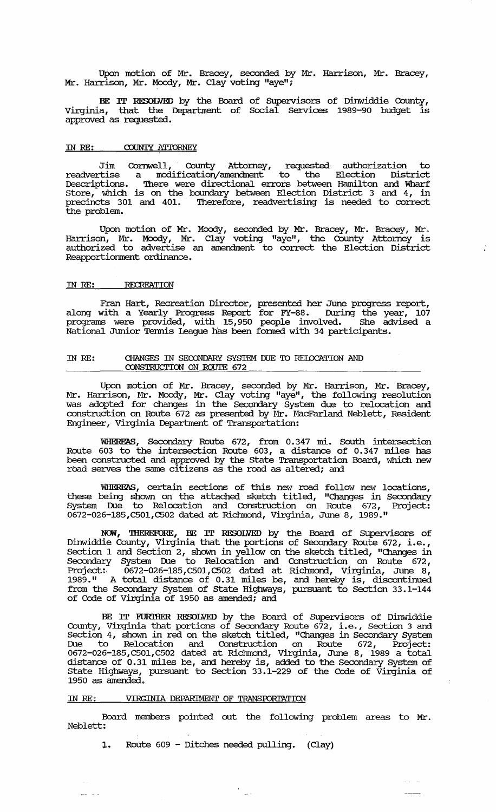Upon motion of Mr. Bracey, seconded by Mr. Harrison, Mr. Bracey, Mr. Harrison, Mr. Moody, Mr. Clay voting "aye";

BE IT RESOLVED by the Board of SUpervisors of Dinwiddie County, virginia, that the Deparbnent of Social services 1989-90 budget is approved as requested.

### IN RE: COUNTY ATTORNEY

Jim Cornwell, County Attorney, requested authorization to readvertise a modification/amendment to the Election District Descriptions. There were directional errors between Hamilton and Wharf Store, which is on the boundary between Election District 3 and 4, in precincts 301 and 401. '!herefore, readvertising is needed to correct the problem.

Upon motion of Mr. Moody, seconded by Mr. Bracey, Mr. Bracey, Mr. Harrison, Mr. Moody, Mr. Clay voting "aye", the County Attorney is authorized to advertise an amendment to correct the Election District Reapportionment ordinance.

## IN RE: RECREATION

Fran Hart, Recreation Director, presented her June progress report, along with a Yearly Progress Report for FY-88. During the year, 107 programs were provided, with 15,950 people involved. She advised a National Junior Tennis league bas been fonned with 34 participants.

## IN RE: CHANGES IN SECONDARY SYSTEM DUE TO RELOCATION AND CONSTRUCrION ON ROUTE 672

Upon motion of Mr. Bracey, seconded by Mr. Harrison, Mr. Bracey, Mr. Harrison, Mr. Moody, Mr. Clay voting "aye", the following resolution was adopted for changes in the Secondary System due to relocation and construction on Route 672 as presented by Mr. MacFarland Neblett, Resident Engineer, Virginia Department of Transportation:

WHEREAS, Secondary Route 672, from 0.347 mi. South intersection Route 603 to the intersection Route 603, a distance of 0.347 miles has been constructed and approved by the State Transportation Board, which new road serves the same citizens as the road as altered; and

WHEREAS, certain sections of this new road follow new locations, these being shown on the attached sketch titled, "Changes in secondary System Due to Relocation and Construction on Route 672, Project: 0672-026-185,CS01,CS02 dated at Richmond, Virginia, June 8, 1989."

:NCM, 'IHEREFORE, BE IT RESOLVED by the Board of SUpervisors of Dinwiddie County, Virginia that the portions of Secondary Route 672, i. e. , Section 1 and Section 2, shown in yellow on the sketch titled, "Changes in Secondary System Due to Relocation and Construction on Route 672, Project:· 0672-026-185,CS01,CS02 dated at Richmond, Virginia, June 8, 1989." A total distance of 0.31 miles be, and hereby is, discontinued from the Secondary System of State Highways, pursuant to Section 33.1-144 of Code of Virginia of 1950 as amended; and

BE IT FURlHER RESOLVED by the Board of SUpervisors of Dinwiddie County, Virginia that portions of Secondary Route 672, Le., section 3 and Section 4, shown in red on the sketch titled, "Changes in Secondary System Due to Relocation and Construction on Route 672, Project: 0672-026-185,CS01,CS02 dated at Richmond, Virginia, June 8, 1989 a total distance of 0.31 miles be, and hereby is, added to the Secondary System of State Highways, pursuant to Section 33.1-229 of the Code of Virginia of 1950 as amended.

## IN RE: VIRGINIA DEPARIMENT OF TRANSroRrATION

 $\frac{1}{2}$  and  $\frac{1}{2}$ 

Board members pointed out the following problem areas to Mr. Neblett:

1. Route 609 - Ditches needed pulling. (Clay)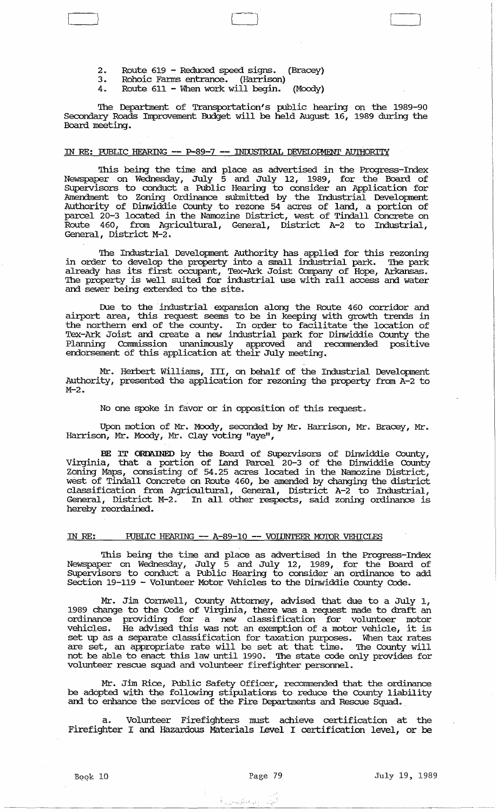- 2. Route 619 Reduced speed signs. (Bracey)
- 3. Rohoic Fanus entrance. (Harrison)
- 4. Route 611 When work will begin. (Moody)

The Department of Transportation's public hearing on the 1989-90 Secondary Roads Improvement Budget will be held August 16, 1989 during the Board meeting.

 $\overline{\mathbb{L}}$ 

## IN RE: RJBLIC HEARING **--** P-89-7 **--** INWSTRIAL DEVEIOFMENT AU'IHORITY

This being the time and place as advertised in the Progress-Index Newspaper on Wednesday, July 5 and July 12, 1989, for the Board of SUpervisors to conduct a Public Hearing to consider an Application for Amendment to Zoning ordinance submitted by the Industrial Development Authority of Dinwiddie County to rezone 54 acres of land, a portion of parcel 20-3 located in the Namozine District, west of Tindall Concrete on Route 460, from Agricultural, General, District A-2 to Industrial, General, District M-2.

The Industrial Development Authority has applied for this rezoning in order to develop the property into a small industrial park. The park already has its first oCcupant, Tex-Ark Joist Company of Hope, Arkansas. The property is well suited for industrial use with rail access and water and sewer being extended to the site.

Due to the industrial expansion along the Route 460 corridor and airport area, this request seems to be in keeping with growth trends in the northern end of the county. In order to facilitate the location of Tex-Ark Joist and create a new industrial park for Dinwiddie County the Planning Commission unanimously approved and recommended positive endorsement of this application at their July meeting.

Mr. Herbert Williams, III, on behalf of the Industrial Development Authority, presented the application for rezoning the property from A-2 to M-2.

No one spoke in favor or in opposition of this request.

Upon motion of Mr. Moody, seconded by Mr. Harrison, Mr. Bracey, Mr. Harrison, Mr. Moody, Mr. Clay voting "aye",

BE rr ORDAINED by the Board of SUpervisors of Dinwiddie County, Virginia, that a portion of Land Parcel 20-3 of the Dinwiddie County Zoning Maps, consisting of 54.25 acres located in the Namozine District, west of Tindall Concrete on Route 460, be amended by changing the district classification from Agricultural, General, District A-2 to Industrial, General, District M-2. In all other respects, said zoning ordinance is hereby reordained.

## IN RE: RJBLIC HEARING **--** A-89-10 **--** VOIIJNTEER MOIOR VEHICLES

This being the time and place as advertised in the Progress-Index Newspaper on Wednesday, July 5 and July 12, 1989, for the Board of SUpervisors to conduct a Public Hearing to consider an ordinance to add Section 19-119 - Volunteer Motor Vehicles to the Dinwiddie County Code.

Mr. Jim Cornwell, county Attorney, advised that due to a July 1, 1989 change to the Code of Virginia, there was a request made to draft an ordinance providing for a new classification for volunteer motor vehicles. He advised this was not an exemption of a motor vehicle, it is set up as a separate classification for taxation purposes. When tax rates are set, an appropriate rate will be set at that time. The County will not be able to enact this law until 1990. The state code only provides for volunteer rescue squad and volunteer firefighter personnel.

Mr. Jim Rice, Public Safety Officer, recommended that the ordinance be adopted with the following stipulations to reduce the County liability and to enhance the services of the Fire Departments and Rescue Squad.

a. Volunteer Firefighters must achieve certification at the Firefighter I and Hazardous Materials Level I certification level, or be

 $\label{eq:1} \hat{S}_{\mathcal{L},\mathcal{P}_{\mathcal{L}}}\left[\mathcal{L}_{\mathcal{L}}\left(\mathbf{y}_{\mathcal{L}}\right)\right]_{\mathcal{L}}\left[\mathcal{L}_{\mathcal{L}}\left(\mathbf{y}_{\mathcal{L}}\right)\right]_{\mathcal{L}}=\left[\mathcal{L}_{\mathcal{L}}\right]_{\mathcal{L}}\left[\mathcal{L}_{\mathcal{L}}\right]_{\mathcal{L}}$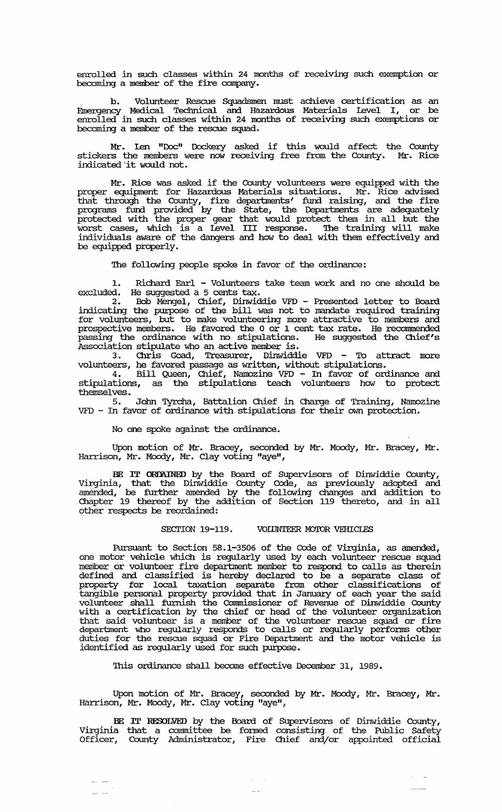enrolled in such classes within 24 months of receiving such exemption or becoming a member of the fire company.

b. Volunteer Rescue Squadsmen must achieve certification as an Emergency Medical Technical and Hazardous Materials Level I, or be enrolled in such classes within 24 months of receiving such exemptions or becoming a member of the rescue squad.

Mr. len "Doc" Dockery asked if this would affect the County stickers the members were now receiving free from the County. Mr. Rice indicated 'it would not.

Mr. Rice was asked if the County volunteers were equipped with the proper equipment for Hazardous Materials situations. Mr. Rice advised that through the County, fire deparbnents' fund raising, and the fire programs fund provided by the State, the Departments are adequately protected with the proper gear that would protect them in all but the worst cases, which is a level III response. '!he training will make individuals aware of the dangers and how to deal with them effectively and be equipped properly.

The following people spoke in favor of the ordinance:

1. Richard Earl - Volunteers take team work and no one should be excluded. He suggested a 5 cents tax.

2. Bob Mengel, Chief, Dinwiddie VFD - Presented letter to Board indicating the purpose of the bill was not to mandate required training for volunteers, but to make volunteering more attractive to members and prospective members. He favored the 0 or 1 cent tax rate. He recommended passing the ordinance with no stipulations. He suggested the Chief's Association stipulate who an active member is.

3. Chris Goad, Treasurer, Dinwiddie VFD - To attract more volunteers, he favored passage as written, without stipulations.

4. Bill Queen, Chief, Namozine VFD - In favor of ordinance and stipulations, as the stipulations teach volunteers how to protect themselves •

5. John Tyrcha, Battalion Chief in Charge of Training, Narnozine VFD - In favor of ordinance with stipulations for their own protection.

No one spoke against the ordinance.

Upon motion of Mr. Bracey, seconded by Mr. Moody, Mr. Bracey, Mr. Harrison, Mr. Moody, Mr. Clay voting "aye",

BE IT ORDAINED by the Board of Supervisors of Dinwiddie County, Virginia, that the Dinwiddie County Code, as previously adopted and amended, be further amended by the following changes and addition to Chapter 19 thereof by the addition of Section 119 thereto, and in all other respects be reordained:

### SECTION 19-119. VOIINTEER MOTOR VEHICIES

Pursuant to Section 58.1-3506 of the Code of Virginia, as amended, one motor vehicle which is regularly used by each volunteer rescue squad member or volunteer fire department member to respond to calls as therein defined and classified is hereby declared to be a separate class of property for local taxation separate from other classifications of tangible personal property provided that in Januru:y of each year the said volunteer shall furnish the Commissioner of Revenue of Dinwiddie County with a certification by the chief or head of the volunteer organization that said volunteer is a member of the volunteer rescue squad or fire department who regularly responds to calls or regularly performs other duties for the rescue squad or Fire Department and the motor vehicle is identified as regularly used for such purpose.

This ordinance shall become effective December 31, 1989.

Upon motion of Mr. Bracey, seconded by Mr. Moody, Mr. Bracey, Mr. Harrison, Mr. Moody, Mr. Clay voting "ayelV *<sup>Q</sup>*

BE IT RESOLVED by the Board of Supervisors of Dinwiddie County, Virginia that a conunittee be fonned. consisting of the Public Safety Officer, County Administrator, Fire Chief and/or appointed official

 $\sim$   $\sim$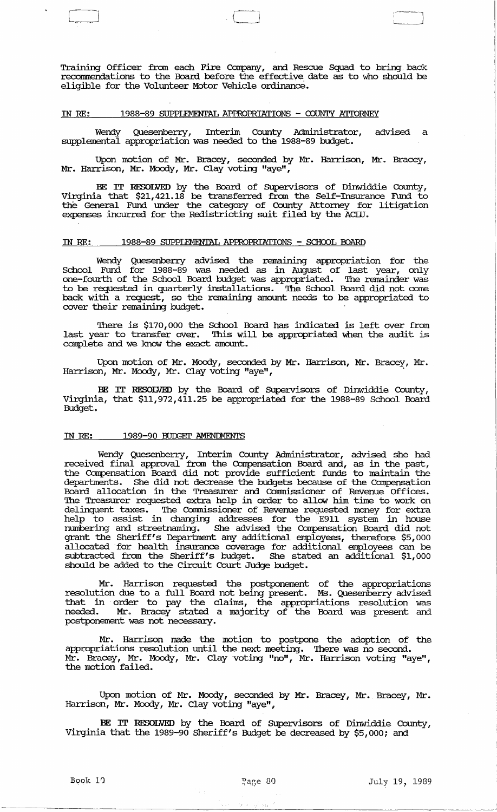Training Officer from each Fire Company, and Rescue Squad to bring back recommendations to the Board before the effective date as to who should be eligible for the Volunteer Motor Vehicle ordinance.

 $\Box$ 

## IN *RE:* 1988-89 SUPPLEMENTAL APPROPRIATIONS - COUNTY ATIORNEY

Wendy Quesenberry, Interim County Administrator, advised a supplemental appropriation was needed to the 1988-89 budget.

Upon motion of Mr. Bracey, seconded by Mr. Harrison, Mr. Bracey, Mr. Harrison, Mr. Moody, Mr. Clay voting "aye",

BE IT RESOLVED by the Board of SUpervisors of Dinwiddie County, Virginia that \$21,421.18 be transferred from the Self-Insurance Fund to the General Fund under the category of County Attorney for litigation expenses incurred for the Redistricting suit filed by the ACID.

# IN RE: 1988-89 SUPPLEMENTAL APPROPRIATIONS - SCHOOL BOARD

Wendy Quesenberry advised the remaining appropriation for the School Fund for 1988-89 was needed as in August of last year, only one-fourth of the School Board budget was appropriated. The remainder was to be requested in quarterly installations. The School Board did not come back with a request, so the remaining amount needs to be appropriated to cover their remaining budget.

There is \$170,000 the School Board has indicated is left over from last year to transfer over. This will be appropriated when the audit is complete and we know the exact amount.

Upon motion of Mr. Moody, seconded by Mr. Harrison, Mr. Bracey, Mr. Harrison, Mr. Moody, Mr. Clay voting "aye", .

BE IT RESOLVED by the Board of SUpervisors of Dinwiddie County, Virginia, that \$11,972,411.25 be appropriated for the 1988-89 School Board Budget.

#### IN *RE:*  1989-90 BUDGET AMENDMENTS

Wendy Quesenberry, Interim County Administrator, advised she had received final approval from the Compensation Board and, as in the past, the Compensation Board did not provide sufficient funds to maintain the departments. She did not decrease the budgets because of the Compensation Board allocation in the Treasurer and Connnissioner of Revenue Offices. The Treasurer requested extra help in order to allow him time to work on delinquent taxes. The Connnissioner of Revenue requested money for extra help to assist in changing addresses for the E911 system in house numbering and streetnaming. She advised the Compensation Board did not grant the Sheriff's Department any additional employees, therefore \$5,000 allocated for health insurance coverage for additional employees can be subtracted from the Sheriff's budget. She stated an additional \$1,000 should be added to the circuit Court Judge budget.

Mr. Harrison requested the postponement of the appropriations resolution due to a full Board not being present. Ms. Quesenberry advised that in order to pay the claims, the appropriations resolution was needed. Mr. Bracey stated a majority of the Board was present and postponement was not necessary.

Mr. Harrison made the motion to postpone the adoption of the appropriations resolution until the next meeting. There was no second. Mr. Bracey, Mr. Moody, Mr. Clay voting "no", Mr. Harrison voting "aye", the motion failed.

Upon motion of Mr. Moody, seconded by Mr. Bracey, Mr. Bracey, Mr. Harrison, Mr. Moody, Mr. Clay voting "aye",

BE IT RESOLVED by the Board of SUpervisors of Dinwiddie County, Virginia that the 1989-90 Sheriff's Budget be decreased by \$5,000; and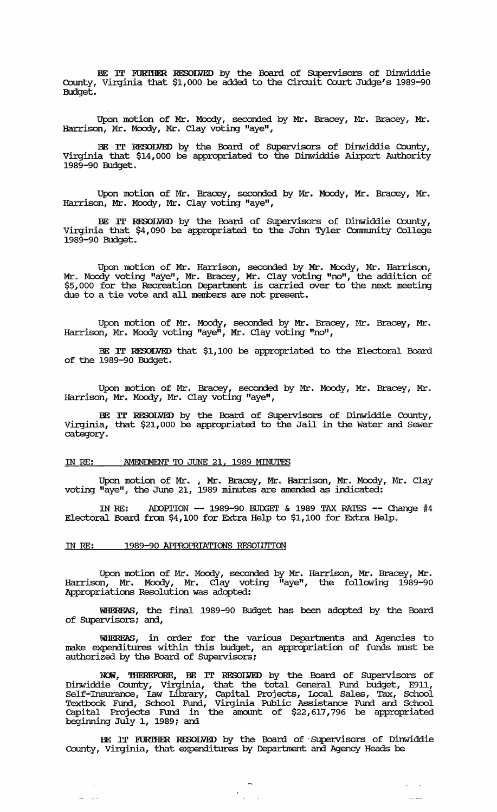BE IT FURTHER RESOLVED by the Board of Supervisors of Dinwiddie County, Virginia that \$1,000 be added to the circuit Court Judge's 1989-90 Budget.

Upon motion of Mr. Moody, seconded by Mr. Bracey, Mr. Bracey, Mr. Harrison, Mr. Moody, Mr. Clay voting "aye",

BE IT RESOLVED by the Board of SUpervisors of Dinwiddie County, virginia that \$14,000 be appropriated to the Dinwiddie Airport Authority 1989-90 Budget.

Upon motion of Mr. Bracey, seconded by Mr. Moody, Mr. Bracey, Mr. Harrison, Mr. Moody, Mr. Clay voting "aye",

BE IT RESOLVED by the Board of SUpervisors of Dinwiddie County, virginia that \$4,090 be appropriated to the Jom Tyler Community College 1989-90 Budget.

Upon motion of Mr. Harrison, seconded. by Mr. Moody, Mr. Harrison, Mr. Moody voting "aye", Mr. Bracey, Mr. Clay voting "no", the addition of \$5,000 for the Recreation Deparbnent is carried over to the next meeting due to a tie vote and all members are not present.

Upon motion of Mr. Moody, seconded by Mr. Bracey, Mr. Bracey, Mr. Harrison, Mr. Moody voting "aye", Mr. Clay voting "no",

BE IT RESOLVED that \$1,100 be appropriated to the Electoral Board of the 1989-90 Budget.

Upon motion of Mr. Bracey, seconded by Mr. Moody, Mr. Bracey, Mr . Harrison, Mr. Moody, Mr. Clay voting "aye",

BE IT RESOLVED by the Board of SUpervisors of Dinwiddie County, Virginia, that \$21,000 be appropriated to the Jail in the Water and Sewer category.

# IN RE: AMENDMENT TO JUNE 21, 1989 MINUTES

Upon motion of Mr. , Mr. Bracey, Mr. Harrison, Mr. Moody, Mr. Clay voting "aye", the June 21, 1989 minutes are amended as indicated:

IN RE: ADOPTION -- 1989-90 BUDGET & 1989 TAX RATES -- Change #4 Electoral Board from \$4,100 for Extra Help to \$1,100 for Extra Help.

## IN RE: 1989-90 APPROPRIATIONS RESOLUTION

 $\Delta\omega_{\rm{eff}}=2.0\,\mu$ 

Upon motion of Mr. Moody, seconded by Mr. Harrison, Mr. Bracey, Mr. Harrison, Mr. Moody, Mr. Clay voting "ayeli , the following 1989-90 Appropriations Resolution was adopted:

WlIEREAS, the final 1989-90 Budget has been adopted by the Board of SUpervisors; and,

WHEREAS, in order for the various Departments and Agencies to make expenditures within this budget, an appropriation of funds must be authorized by the Board of SUpervisors;

NOW, THEREFORE, BE IT RESOLVED by the Board of Supervisors of Dinwiddie County, Virginia, that the total General Fund budget, E911, Self-Insurance, law Library, capital Projects, Iocal Sales, Tax, School Textbook Fund, School Fund, Virginia Public Assistance Fund and School capital Projects Fund in the amount of \$22,617,796 be appropriated beginning July 1, 1989; and

BE IT EURIHER RESOLVED by the Board of' SUpervisors of Dinwiddie County, Virginia, that expenditures by Department and Agency Heads be

 $\sim$   $\sim$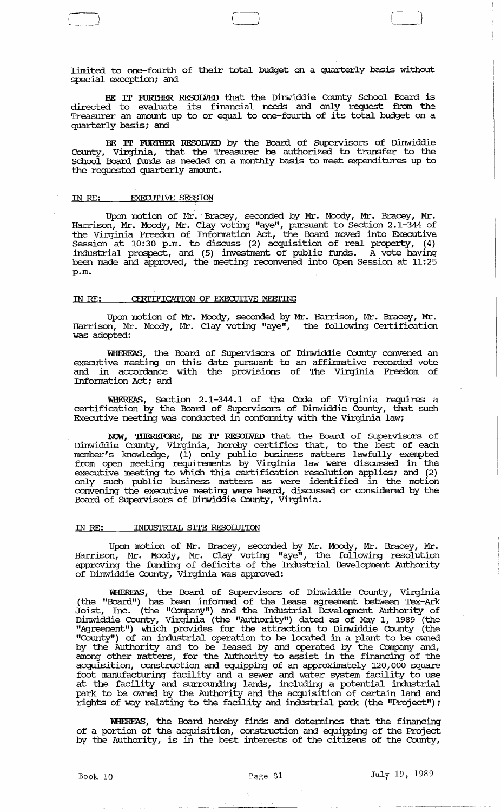limited to one-fourth of their total budget on a quarterly basis without special exception; and

 $\Box$ 

BE IT FURIHER RESOLVED that the Dinwiddie County School Board is directed to evaluate its financial needs and only request from the Treasurer an amount up to or equal to one-fourth of its total budget on a quarterly basis; and

BE IT FURIHER RESOLVED by the Board of Supervisors of Dinwiddie County, Virginia, that the Treasurer be authorized to transfer to the School Board funds as needed on a monthly basis to meet expenditures up to the requested quarterly amount.

### IN *RE:* EXECUTIVE SESSION

Upon motion of Mr. Bracey, seconded by Mr. Moody, Mr. Bracey, Mr. Harrison, Mr. Moody, Mr. Clay voting "aye", pursuant to Section 2.1-344 of the Virginia Freedom of Infonnation Act, the Board moved into Executive Session at 10:30 p.m. to discuss (2) acquisition of real property, (4) industrial prospect, and (5) investment of public funds. A vote having been made and approved, the meeting reconvened into Open Session at 11:25 p.m.

## IN RE: **CERITIFICATION OF EXECUTIVE MEETING**

Upon motion of Mr. Moody, seconded by Mr. Harrison, Mr. Bracey, Mr. Harrison, Mr. Moody, Mr. Clay voting "aye", the following Certification was adopted:

WHEREAS, the Board of Supervisors of Dinwiddie County convened an executive meeting on this date pursuant to an affinnative recorded vote and in accordance with the provisions of The Virginia Freedom of Information Act; and

WHEREAS, Section 2.1-344.1 of the Code of Virginia requires a certification by the Board of Supervisors of Dinwiddie County, that such Executive meeting was conducted in confonnity with the Virginia law;

NCM, 'lHEREFORE, BE IT RESOLVED that the Board of supervisors of Dinwiddie County, Virginia, hereby certifies that, to the best of each member's knowledge, (1) only public business matters lawfully exempted from open meeting requirements by Virginia law were discussed in the executive meeting to which this certification resolution applies; and (2) only such public business matters as were identified in the motion convening the executive meeting were heard, discussed or considered by the Board of SUpervisors of Dinwiddie County, Virginia.

### IN RE: **INDUSTRIAL SITE RESOLUTION**

Upon motion of Mr. Bracey, seconded by Mr. Moody, Mr. Bracey, Mr. Harrison, Mr. Moody, Mr. Clay voting "aye", the following resolution approving the funding of deficits of the Industrial Development Authority of Dinwiddie County, Virginia was approved:

WHEREAS, the Board of SUpervisors of Dinwiddie County, Virginia (the "Board") has been infonned of the lease agreement between Tex-Ark Joist, Inc. (the "Company") and the Industrial Development Authority of Dinwiddie County, Virginia (the "Authority") dated as of May 1, 1989 (the "Agreement") which provides for the attraction to Dinwiddie County (the "County") of an industrial operation to be located in a plant to be owned by the Authority and to be leased by and operated by the Company and, and the matters, for the Authority to assist in the financing of the acquisition, construction and equipping of an approximately 120,000 square foot manufacturing facility and a sewer and water system facility to use at the facility and surrounding lands, including a potential industrial park to be owned by the Authority and the acquisition of certain land and rights of way relating to the facility and industrial park (the "Project");

WHEREAS, the Board hereby finds and detennines that the financing of a portion of the acquisition, construction and equipping of the Project by the Authority, is in the best interests of the citizens of the County,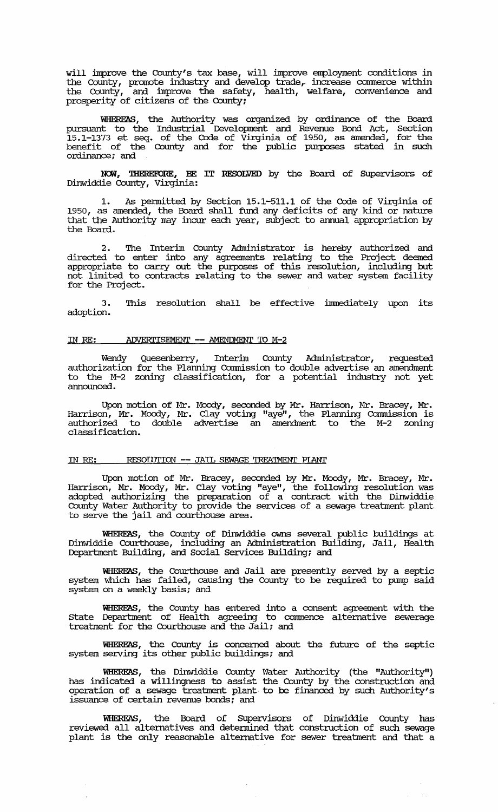will improve the County's tax base, will improve employment conditions in the County, promote industry and develop trade, increase commerce within the County, and improve the safety, health, welfare, convenience and prosperity of citizens of the County;

WEIEREAS, the Authority was organized by ordinance of the Board pursuant to the Industrial Development and Revenue Bond Act, Section 15.1-1373 et seq. of the Code of Virginia of 1950, as amended, for the benefit of the County and for the public purposes stated in such ordinance; and

NCM, 'IHEREFORE, BE IT RESOLVED by the Board of SUpervisors of Dinwiddie County, Virginia:

1. As permitted by Section 15.1-511.1 of the Code of Virginia of 1950, as amended, the Board shall fund any deficits of any kind or nature that the Authority may incur each year, subject to annual appropriation by the Board.

2. The Interim County Administrator is hereby authorized and directed to enter into any agreements relating to the Project deemed appropriate to carry out the purposes of this resolution, including but not limited to contracts relating to the sewer and water system facility for the Project.

3. adoption. This resolution shall be effective immediately upon its

#### IN RE: ADVERTISEMENT -- AMENDMENT TO M-2

Wendy Quesenberry, Interim County Administrator, requested authorization for the Planning Commission to double advertise an amendment to the M-2 zoning classification, for a potential industry not yet announced.

Upon motion of Mr. Moody, seconded by Mr. Harrison, Mr. Bracey, Mr. Harrison, Mr. Moody, Mr. Clay voting "aye", the Planning Commission is authorized to double advertise an amendment to the M-2 zoning classification.

### IN RE: RESOIDTION -- JAIL SEWAGE TREATMENT PIANT

Upon motion of Mr. Bracey, seconded by Mr. Moody, Mr. Bracey, Mr. Harrison, Mr. Moody, Mr. Clay voting "aye", the following resolution was adopted authorizing the preparation of a contract with the Dinwiddie County Water Authority to provide the services of a sewage treatment plant to serve the jail and courthouse area.

WEIEREAS, the County of Dinwiddie owns several public buildings at Dinwiddie Courthouse, including an Administration Building, Jail, Health Department Building, and Social services Building; and

WHEREAS, the Courthouse and Jail are presently served by a septic system which has failed, causing the County to be required to pump said system on a weekly basis; and

WHEREAS, the County has entered into a consent agreement with the State Department of Health agreeing to commence alternative sewerage treatment for the Courthouse and the Jail; and

WHEREAS, the County is concerned about the future of the septic system serving its other public buildings; and

'WHEREAS, the Dinwiddie County Water Authority (the "Authority") has indicated a willingness to assist the County by the construction and operation of a sewage treatment plant· to be financed by such Authority's issuance of certain revenue bonds; and

WEIEREAS, the Board of SUpervisors of Dinwiddie County has reviewed all alternatives and detennined that construction of such sewage plant is the only reasonable alternative for sewer treatment and that a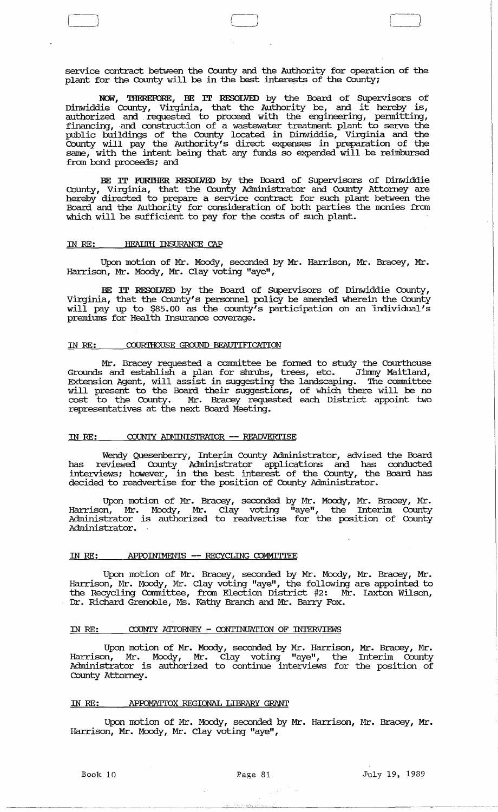service contract between the County and the Authority for operation of the plant for the County will be in the best interests of the County;

 $\qquad \qquad \Box$ L *<sup>j</sup>*

NOW, THEREFORE, BE IT RESOLVED by the Board of Supervisors of Dinwiddie County, Virginia, that the Authority be, and it hereby is, authorized and. requested to proceed with the engineering, pennitting, financing, and construction of a wastewater treatment plant to serve the public buildings of the County located in Dinwiddie, Virginia and the County will pay the Authority's direct expenses in preparation of the same, with the intent being that any funds so expended will be reimbursed from bond proceeds; and

BE rr FURIHER RESOLVED by the Board of SUpervisors of Dinwiddie County, Virginia, that the County Administrator and County Attorney are hereby directed to prepare a service contract for such plant between the Board and the Authority for consideration of both parties the monies from which will be sufficient to pay for the costs of such plant.

## IN RE: HEALTH INSURANCE CAP

 $\Box$ 

Upon motion of Mr. Moody, seconded by Mr. Harrison, Mr. Bracey, Mr. Harrison, Mr. Moody, Mr. Clay voting "aye",

BE IT RESOLVED by the Board of Supervisors of Dinwiddie County, Virginia, that the County's personnel policy be amended wherein the County will pay up to \$85.00 as the county's participation on an individual's premiums for Health Insurance coverage.

## IN RE: COURIHOUSE GROUND BEAUTIFICATION

Mr. Bracey requested a committee be formed to study the Courthouse Grounds and establish a plan for shnlbs, trees, etc. Jinnny Maitland, Extension Agent, will assist in suggesting the landscaping. The committee will present to the Board their suggestions, of which there will be no cost to the County. Mr. Bracey requested each District appoint two representatives at the next Board Meeting.

# IN RE: COUNTY ADMINISTRATOR -- READVERTISE

Wendy Quesenberry, Interim County Administrator, advised the Board has reviewed County Administrator applications and has conducted interviews; however, in the best interest of the County, the Board has decided to readvertise for the position of County Administrator.

Upon motion of Mr. Bracey, seconded by Mr. Moody, Mr. Bracey, Mr. Harrison, Mr. Moody, Mr. Clay voting "aye", the Interim County Administrator is authorized to readvertise for the position of County Administrator.

## IN RE: APPOINTMENTS -- RECYCLING COMMITTEE

Upon motion of Mr. Bracey, seconded by Mr. Moody, Mr. Bracey, Mr. Harrison, Mr. Moody, Mr. Clay voting "aye", the following are appointed to the Recycling Committee, from Election District #2: Mr. Laxton Wilson, Dr. Richard Grenoble, Ms. Kathy Branch and Mr. Barry Fox.

## IN RE: COUNTY ATIORNEY - CONTINUATION OF INTERVIEWS

Upon motion of Mr. Moody, seconded by Mr. Harrison, Mr. Bracey, Mr. Harrison, Mr. Moody, Mr. Clay voting "aye", the Interim County Administrator is authorized to continue interviews for the position of County Attorney.

# IN RE: APFDMATIOX REGIONAL LIBRARY GRANT

Upon motion of Mr. Moody, seconded by Mr. Harrison, Mr. Bracey, Mr. Harrison, Mr. Moody, Mr. Clay voting "aye",

, ' .. : .. '., , ,